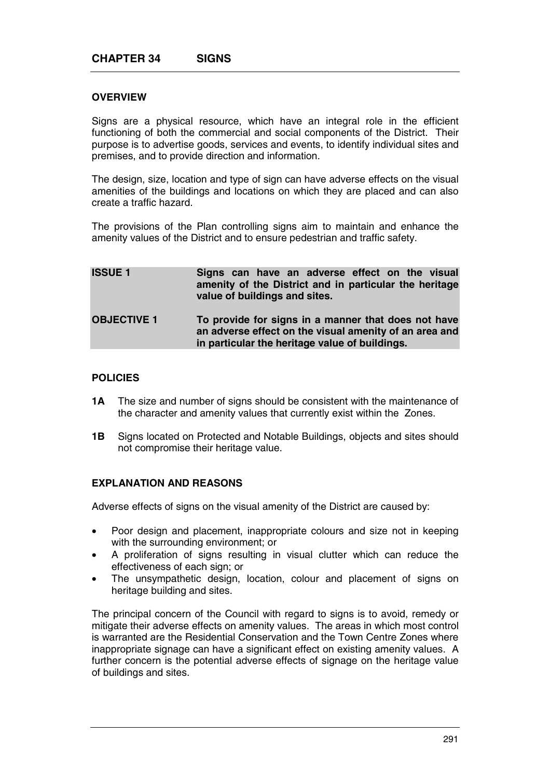### **OVERVIEW**

Signs are a physical resource, which have an integral role in the efficient functioning of both the commercial and social components of the District. Their purpose is to advertise goods, services and events, to identify individual sites and premises, and to provide direction and information.

The design, size, location and type of sign can have adverse effects on the visual amenities of the buildings and locations on which they are placed and can also create a traffic hazard.

The provisions of the Plan controlling signs aim to maintain and enhance the amenity values of the District and to ensure pedestrian and traffic safety.

| <b>ISSUE 1</b>     | Signs can have an adverse effect on the visual<br>amenity of the District and in particular the heritage<br>value of buildings and sites.                       |
|--------------------|-----------------------------------------------------------------------------------------------------------------------------------------------------------------|
| <b>OBJECTIVE 1</b> | To provide for signs in a manner that does not have<br>an adverse effect on the visual amenity of an area and<br>in particular the heritage value of buildings. |

#### **POLICIES**

- **1A** The size and number of signs should be consistent with the maintenance of the character and amenity values that currently exist within the Zones.
- **1B** Signs located on Protected and Notable Buildings, objects and sites should not compromise their heritage value.

# **EXPLANATION AND REASONS**

Adverse effects of signs on the visual amenity of the District are caused by:

- Poor design and placement, inappropriate colours and size not in keeping with the surrounding environment; or
- A proliferation of signs resulting in visual clutter which can reduce the effectiveness of each sign; or
- The unsympathetic design, location, colour and placement of signs on heritage building and sites.

The principal concern of the Council with regard to signs is to avoid, remedy or mitigate their adverse effects on amenity values. The areas in which most control is warranted are the Residential Conservation and the Town Centre Zones where inappropriate signage can have a significant effect on existing amenity values. A further concern is the potential adverse effects of signage on the heritage value of buildings and sites.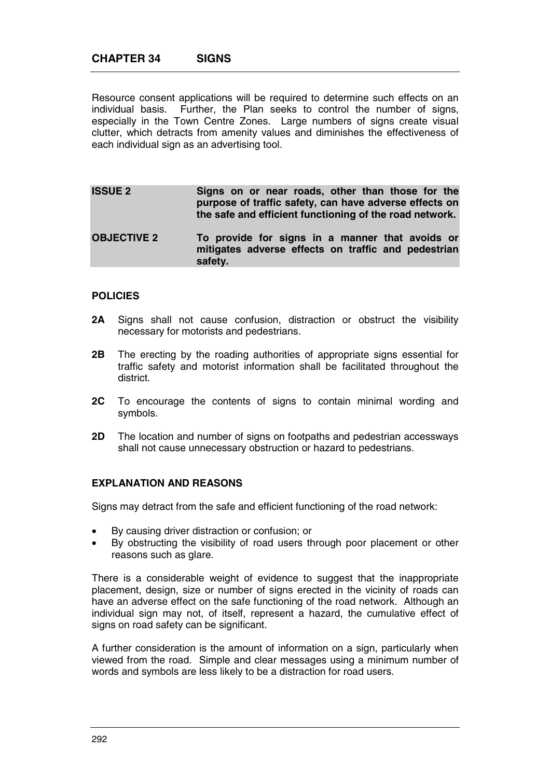Resource consent applications will be required to determine such effects on an individual basis. Further, the Plan seeks to control the number of signs, especially in the Town Centre Zones. Large numbers of signs create visual clutter, which detracts from amenity values and diminishes the effectiveness of each individual sign as an advertising tool.

**ISSUE 2** Signs on or near roads, other than those for the **purpose of traffic safety, can have adverse effects on the safe and efficient functioning of the road network. OBJECTIVE 2 To provide for signs in a manner that avoids or mitigates adverse effects on traffic and pedestrian safety.** 

### **POLICIES**

- **2A** Signs shall not cause confusion, distraction or obstruct the visibility necessary for motorists and pedestrians.
- **2B** The erecting by the roading authorities of appropriate signs essential for traffic safety and motorist information shall be facilitated throughout the district.
- **2C** To encourage the contents of signs to contain minimal wording and symbols.
- **2D** The location and number of signs on footpaths and pedestrian accessways shall not cause unnecessary obstruction or hazard to pedestrians.

# **EXPLANATION AND REASONS**

Signs may detract from the safe and efficient functioning of the road network:

- By causing driver distraction or confusion; or
- By obstructing the visibility of road users through poor placement or other reasons such as glare.

There is a considerable weight of evidence to suggest that the inappropriate placement, design, size or number of signs erected in the vicinity of roads can have an adverse effect on the safe functioning of the road network. Although an individual sign may not, of itself, represent a hazard, the cumulative effect of signs on road safety can be significant.

A further consideration is the amount of information on a sign, particularly when viewed from the road. Simple and clear messages using a minimum number of words and symbols are less likely to be a distraction for road users.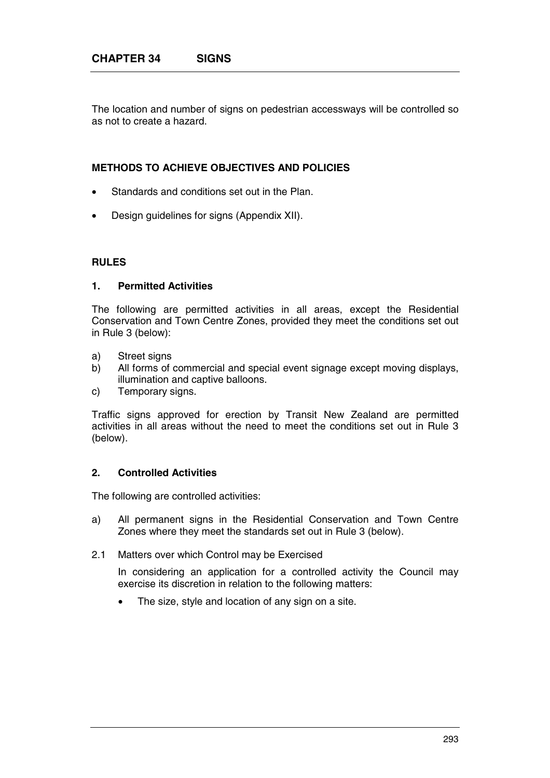The location and number of signs on pedestrian accessways will be controlled so as not to create a hazard.

## **METHODS TO ACHIEVE OBJECTIVES AND POLICIES**

- Standards and conditions set out in the Plan.
- Design guidelines for signs (Appendix XII).

### **RULES**

#### **1. Permitted Activities**

The following are permitted activities in all areas, except the Residential Conservation and Town Centre Zones, provided they meet the conditions set out in Rule 3 (below):

- a) Street signs
- b) All forms of commercial and special event signage except moving displays, illumination and captive balloons.
- c) Temporary signs.

Traffic signs approved for erection by Transit New Zealand are permitted activities in all areas without the need to meet the conditions set out in Rule 3 (below).

### **2. Controlled Activities**

The following are controlled activities:

- a) All permanent signs in the Residential Conservation and Town Centre Zones where they meet the standards set out in Rule 3 (below).
- 2.1 Matters over which Control may be Exercised

In considering an application for a controlled activity the Council may exercise its discretion in relation to the following matters:

The size, style and location of any sign on a site.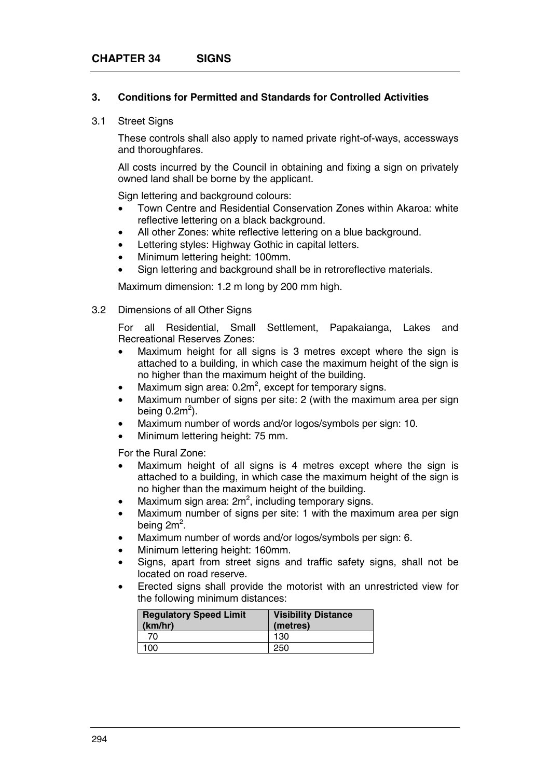### **3. Conditions for Permitted and Standards for Controlled Activities**

#### 3.1 Street Signs

These controls shall also apply to named private right-of-ways, accessways and thoroughfares.

All costs incurred by the Council in obtaining and fixing a sign on privately owned land shall be borne by the applicant.

Sign lettering and background colours:

- Town Centre and Residential Conservation Zones within Akaroa: white reflective lettering on a black background.
- All other Zones: white reflective lettering on a blue background.
- Lettering styles: Highway Gothic in capital letters.
- Minimum lettering height: 100mm.
- Sign lettering and background shall be in retroreflective materials.

Maximum dimension: 1.2 m long by 200 mm high.

#### 3.2 Dimensions of all Other Signs

For all Residential, Small Settlement, Papakaianga, Lakes and Recreational Reserves Zones:

- Maximum height for all signs is 3 metres except where the sign is attached to a building, in which case the maximum height of the sign is no higher than the maximum height of the building.
- Maximum sign area:  $0.2m^2$ , except for temporary signs.
- Maximum number of signs per site: 2 (with the maximum area per sign being 0.2 $m^2$ ).
- Maximum number of words and/or logos/symbols per sign: 10.
- Minimum lettering height: 75 mm.

For the Rural Zone:

- Maximum height of all signs is 4 metres except where the sign is attached to a building, in which case the maximum height of the sign is no higher than the maximum height of the building.
- Maximum sign area:  $2m^2$ , including temporary signs.
- Maximum number of signs per site: 1 with the maximum area per sign being 2 $\mathsf{m}^2$ .
- Maximum number of words and/or logos/symbols per sign: 6.
- Minimum lettering height: 160mm.
- Signs, apart from street signs and traffic safety signs, shall not be located on road reserve.
- Erected signs shall provide the motorist with an unrestricted view for the following minimum distances:

| <b>Regulatory Speed Limit</b><br>(km/hr) | <b>Visibility Distance</b><br>(metres) |
|------------------------------------------|----------------------------------------|
| 70                                       | 130                                    |
| 100                                      | 250                                    |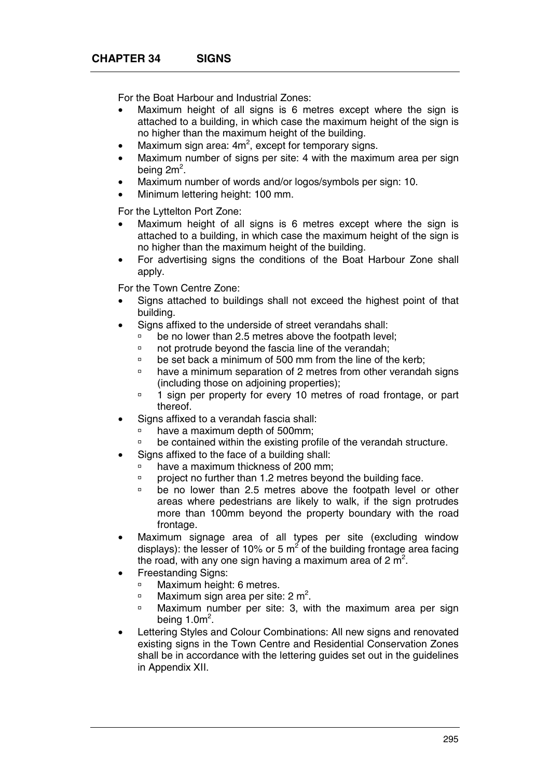For the Boat Harbour and Industrial Zones:

- Maximum height of all signs is 6 metres except where the sign is attached to a building, in which case the maximum height of the sign is no higher than the maximum height of the building.
- Maximum sign area:  $4m^2$ , except for temporary signs.
- Maximum number of signs per site: 4 with the maximum area per sign being 2 $\mathsf{m}^2$ .
- Maximum number of words and/or logos/symbols per sign: 10.
- Minimum lettering height: 100 mm.

For the Lyttelton Port Zone:

- Maximum height of all signs is 6 metres except where the sign is attached to a building, in which case the maximum height of the sign is no higher than the maximum height of the building.
- For advertising signs the conditions of the Boat Harbour Zone shall apply.

For the Town Centre Zone:

- Signs attached to buildings shall not exceed the highest point of that building.
- Signs affixed to the underside of street verandahs shall:
	- <sup>o</sup> be no lower than 2.5 metres above the footpath level;
	- à not protrude beyond the fascia line of the verandah;
	- $\overline{p}$  be set back a minimum of 500 mm from the line of the kerb;
	- à have a minimum separation of 2 metres from other verandah signs (including those on adjoining properties);
	- <sup>o</sup> 1 sign per property for every 10 metres of road frontage, or part thereof.
- Signs affixed to a verandah fascia shall:
	- $\Box$  have a maximum depth of 500mm;
	- à be contained within the existing profile of the verandah structure.
- Signs affixed to the face of a building shall:
	- à have a maximum thickness of 200 mm;
	- à project no further than 1.2 metres beyond the building face.
	- <sup>o</sup> be no lower than 2.5 metres above the footpath level or other areas where pedestrians are likely to walk, if the sign protrudes more than 100mm beyond the property boundary with the road frontage.
- Maximum signage area of all types per site (excluding window displays): the lesser of 10% or 5  $m^2$  of the building frontage area facing the road, with any one sign having a maximum area of 2  $m^2$ .
- Freestanding Signs:
	- <sup>o</sup> Maximum height: 6 metres.
	- **Maximum sign area per site: 2 m<sup>2</sup>.**
	- <sup>o</sup> Maximum number per site: 3, with the maximum area per sign being  $1.0<sup>m²</sup>$ .
- Lettering Styles and Colour Combinations: All new signs and renovated existing signs in the Town Centre and Residential Conservation Zones shall be in accordance with the lettering guides set out in the guidelines in Appendix XII.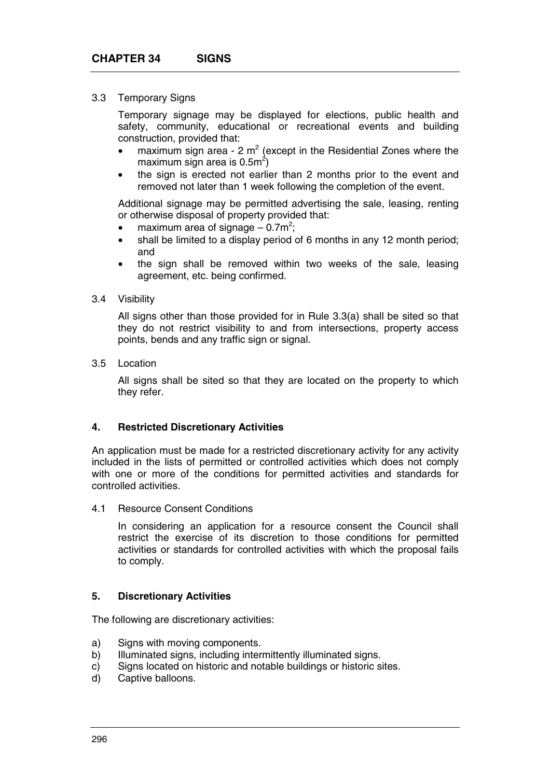#### 3.3 Temporary Signs

Temporary signage may be displayed for elections, public health and safety, community, educational or recreational events and building construction, provided that:

- maximum sign area  $2 \text{ m}^2$  (except in the Residential Zones where the maximum sign area is 0.5m $^2$ )
- the sign is erected not earlier than 2 months prior to the event and removed not later than 1 week following the completion of the event.

Additional signage may be permitted advertising the sale, leasing, renting or otherwise disposal of property provided that:

- maximum area of signage  $-0.7m^2$ ;
- shall be limited to a display period of 6 months in any 12 month period; and
- the sign shall be removed within two weeks of the sale, leasing agreement, etc. being confirmed.

### 3.4 Visibility

All signs other than those provided for in Rule 3.3(a) shall be sited so that they do not restrict visibility to and from intersections, property access points, bends and any traffic sign or signal.

#### 3.5 Location

All signs shall be sited so that they are located on the property to which they refer.

#### **4. Restricted Discretionary Activities**

An application must be made for a restricted discretionary activity for any activity included in the lists of permitted or controlled activities which does not comply with one or more of the conditions for permitted activities and standards for controlled activities.

4.1 Resource Consent Conditions

In considering an application for a resource consent the Council shall restrict the exercise of its discretion to those conditions for permitted activities or standards for controlled activities with which the proposal fails to comply.

#### **5. Discretionary Activities**

The following are discretionary activities:

- a) Signs with moving components.
- b) Illuminated signs, including intermittently illuminated signs.
- c) Signs located on historic and notable buildings or historic sites.
- d) Captive balloons.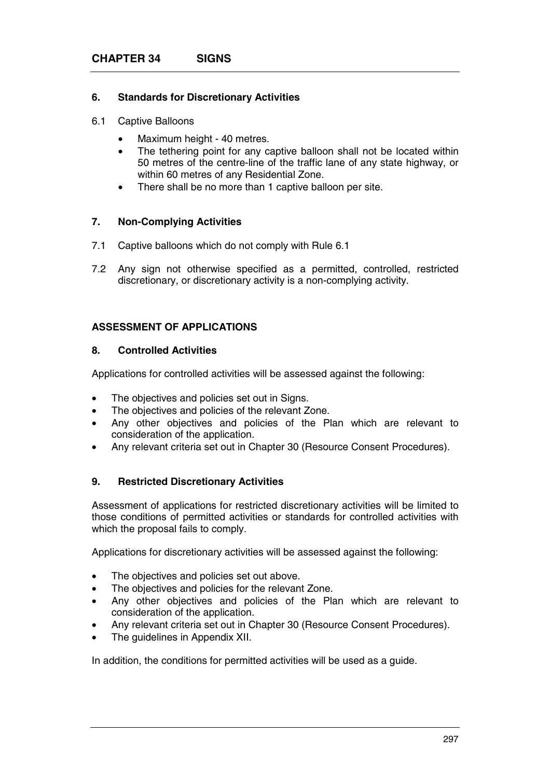## **6. Standards for Discretionary Activities**

- 6.1 Captive Balloons
	- Maximum height 40 metres.
	- The tethering point for any captive balloon shall not be located within 50 metres of the centre-line of the traffic lane of any state highway, or within 60 metres of any Residential Zone.
	- There shall be no more than 1 captive balloon per site.

## **7. Non-Complying Activities**

- 7.1 Captive balloons which do not comply with Rule 6.1
- 7.2 Any sign not otherwise specified as a permitted, controlled, restricted discretionary, or discretionary activity is a non-complying activity.

### **ASSESSMENT OF APPLICATIONS**

### **8. Controlled Activities**

Applications for controlled activities will be assessed against the following:

- The objectives and policies set out in Signs.
- The objectives and policies of the relevant Zone.
- Any other objectives and policies of the Plan which are relevant to consideration of the application.
- Any relevant criteria set out in Chapter 30 (Resource Consent Procedures).

#### **9. Restricted Discretionary Activities**

Assessment of applications for restricted discretionary activities will be limited to those conditions of permitted activities or standards for controlled activities with which the proposal fails to comply.

Applications for discretionary activities will be assessed against the following:

- The objectives and policies set out above.
- The objectives and policies for the relevant Zone.
- Any other objectives and policies of the Plan which are relevant to consideration of the application.
- Any relevant criteria set out in Chapter 30 (Resource Consent Procedures).
- The quidelines in Appendix XII.

In addition, the conditions for permitted activities will be used as a guide.